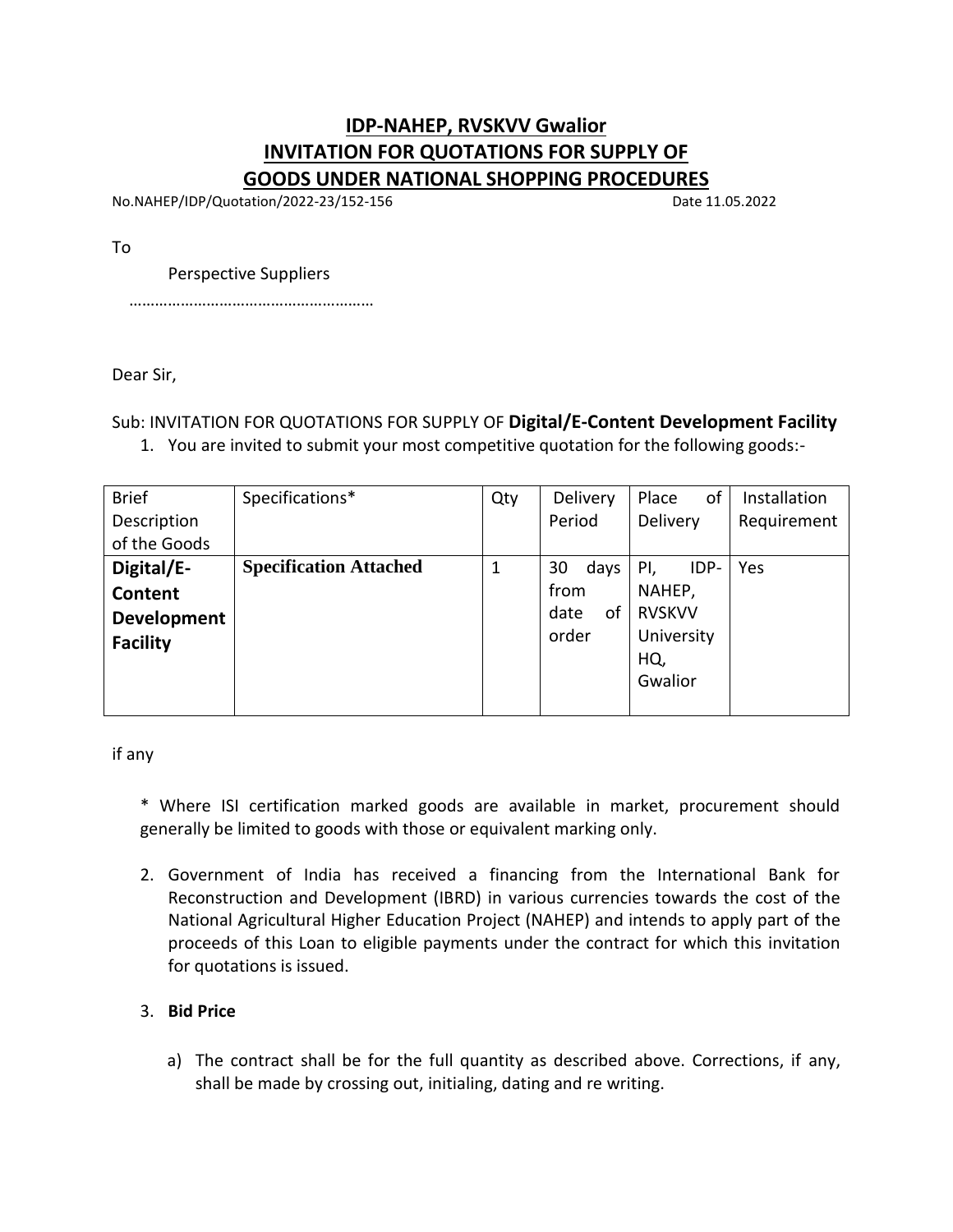## **IDP-NAHEP, RVSKVV Gwalior INVITATION FOR QUOTATIONS FOR SUPPLY OF GOODS UNDER NATIONAL SHOPPING PROCEDURES**

No.NAHEP/IDP/Quotation/2022-23/152-156 Date 11.05.2022

To

Perspective Suppliers

…………………………………………………

Dear Sir,

Sub: INVITATION FOR QUOTATIONS FOR SUPPLY OF **Digital/E-Content Development Facility**

1. You are invited to submit your most competitive quotation for the following goods:-

| <b>Brief</b>       | Specifications*               | Qty | Delivery   | of<br>Place   | <b>Installation</b> |
|--------------------|-------------------------------|-----|------------|---------------|---------------------|
| Description        |                               |     | Period     | Delivery      | Requirement         |
| of the Goods       |                               |     |            |               |                     |
| Digital/E-         | <b>Specification Attached</b> | 1   | 30<br>days | IDP-<br>PI,   | Yes                 |
| Content            |                               |     | from       | NAHEP,        |                     |
| <b>Development</b> |                               |     | date<br>οf | <b>RVSKVV</b> |                     |
| <b>Facility</b>    |                               |     | order      | University    |                     |
|                    |                               |     |            | HQ,           |                     |
|                    |                               |     |            | Gwalior       |                     |
|                    |                               |     |            |               |                     |

if any

\* Where ISI certification marked goods are available in market, procurement should generally be limited to goods with those or equivalent marking only.

2. Government of India has received a financing from the International Bank for Reconstruction and Development (IBRD) in various currencies towards the cost of the National Agricultural Higher Education Project (NAHEP) and intends to apply part of the proceeds of this Loan to eligible payments under the contract for which this invitation for quotations is issued.

### 3. **Bid Price**

a) The contract shall be for the full quantity as described above. Corrections, if any, shall be made by crossing out, initialing, dating and re writing.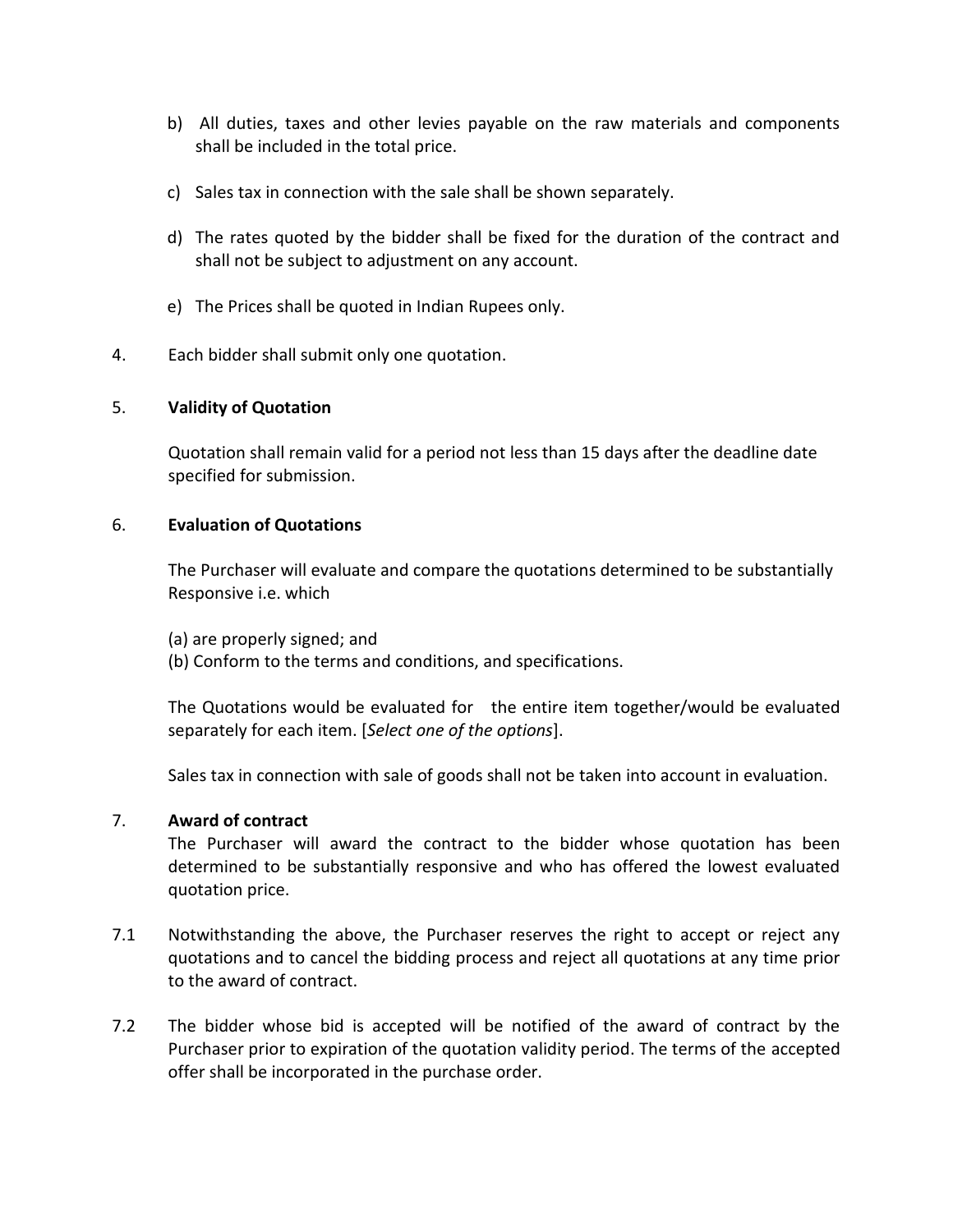- b) All duties, taxes and other levies payable on the raw materials and components shall be included in the total price.
- c) Sales tax in connection with the sale shall be shown separately.
- d) The rates quoted by the bidder shall be fixed for the duration of the contract and shall not be subject to adjustment on any account.
- e) The Prices shall be quoted in Indian Rupees only.
- 4. Each bidder shall submit only one quotation.

#### 5. **Validity of Quotation**

Quotation shall remain valid for a period not less than 15 days after the deadline date specified for submission.

#### 6. **Evaluation of Quotations**

The Purchaser will evaluate and compare the quotations determined to be substantially Responsive i.e. which

- (a) are properly signed; and
- (b) Conform to the terms and conditions, and specifications.

The Quotations would be evaluated for the entire item together/would be evaluated separately for each item. [*Select one of the options*].

Sales tax in connection with sale of goods shall not be taken into account in evaluation.

#### 7. **Award of contract**

The Purchaser will award the contract to the bidder whose quotation has been determined to be substantially responsive and who has offered the lowest evaluated quotation price.

- 7.1 Notwithstanding the above, the Purchaser reserves the right to accept or reject any quotations and to cancel the bidding process and reject all quotations at any time prior to the award of contract.
- 7.2 The bidder whose bid is accepted will be notified of the award of contract by the Purchaser prior to expiration of the quotation validity period. The terms of the accepted offer shall be incorporated in the purchase order.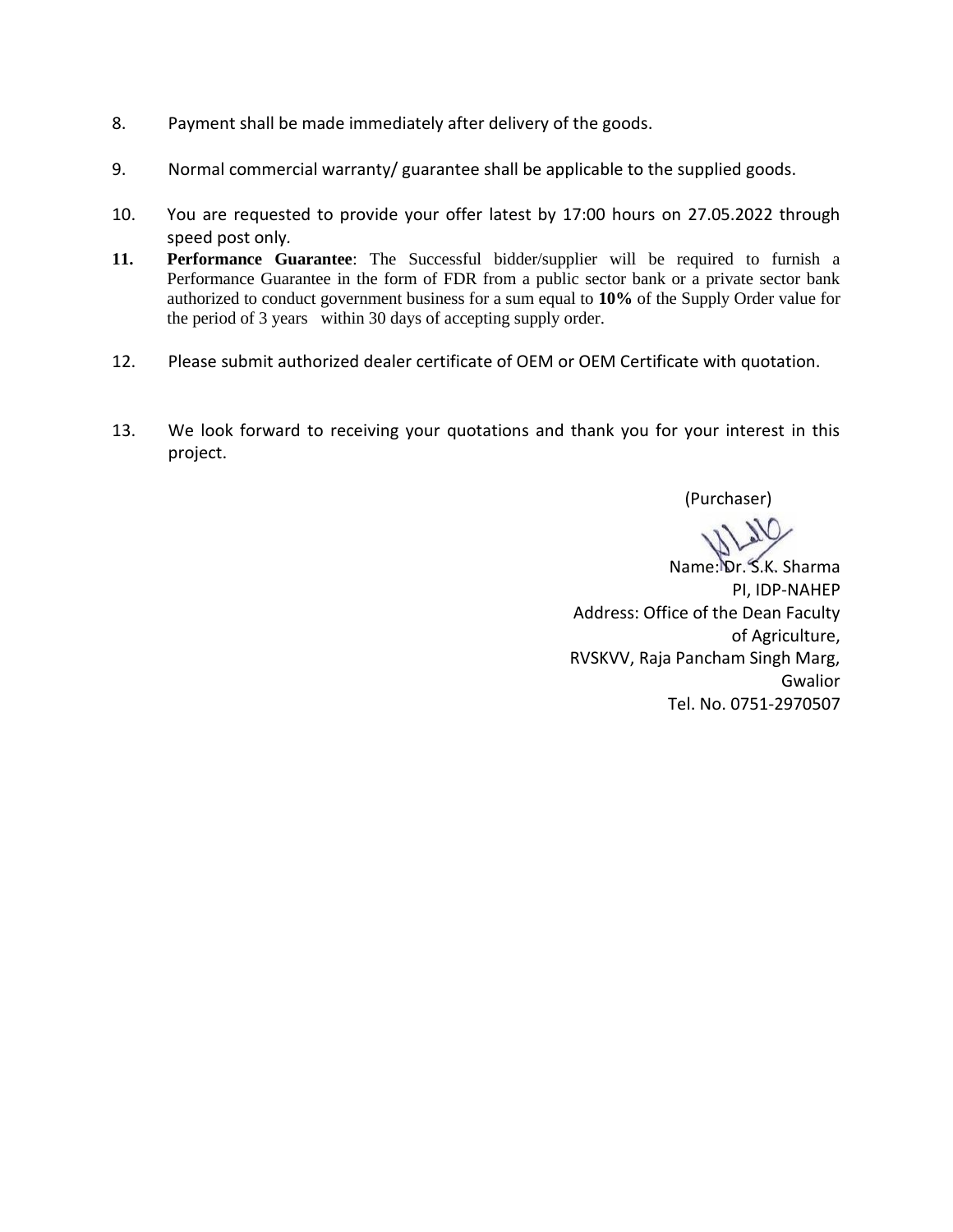- 8. Payment shall be made immediately after delivery of the goods.
- 9. Normal commercial warranty/ guarantee shall be applicable to the supplied goods.
- 10. You are requested to provide your offer latest by 17:00 hours on 27.05.2022 through speed post only*.*
- **11. Performance Guarantee**: The Successful bidder/supplier will be required to furnish a Performance Guarantee in the form of FDR from a public sector bank or a private sector bank authorized to conduct government business for a sum equal to **10%** of the Supply Order value for the period of 3 years within 30 days of accepting supply order.
- 12. Please submit authorized dealer certificate of OEM or OEM Certificate with quotation.
- 13. We look forward to receiving your quotations and thank you for your interest in this project.

(Purchaser)

Name: Dr. S.K. Sharma PI, IDP-NAHEP Address: Office of the Dean Faculty of Agriculture, RVSKVV, Raja Pancham Singh Marg, Gwalior Tel. No. 0751-2970507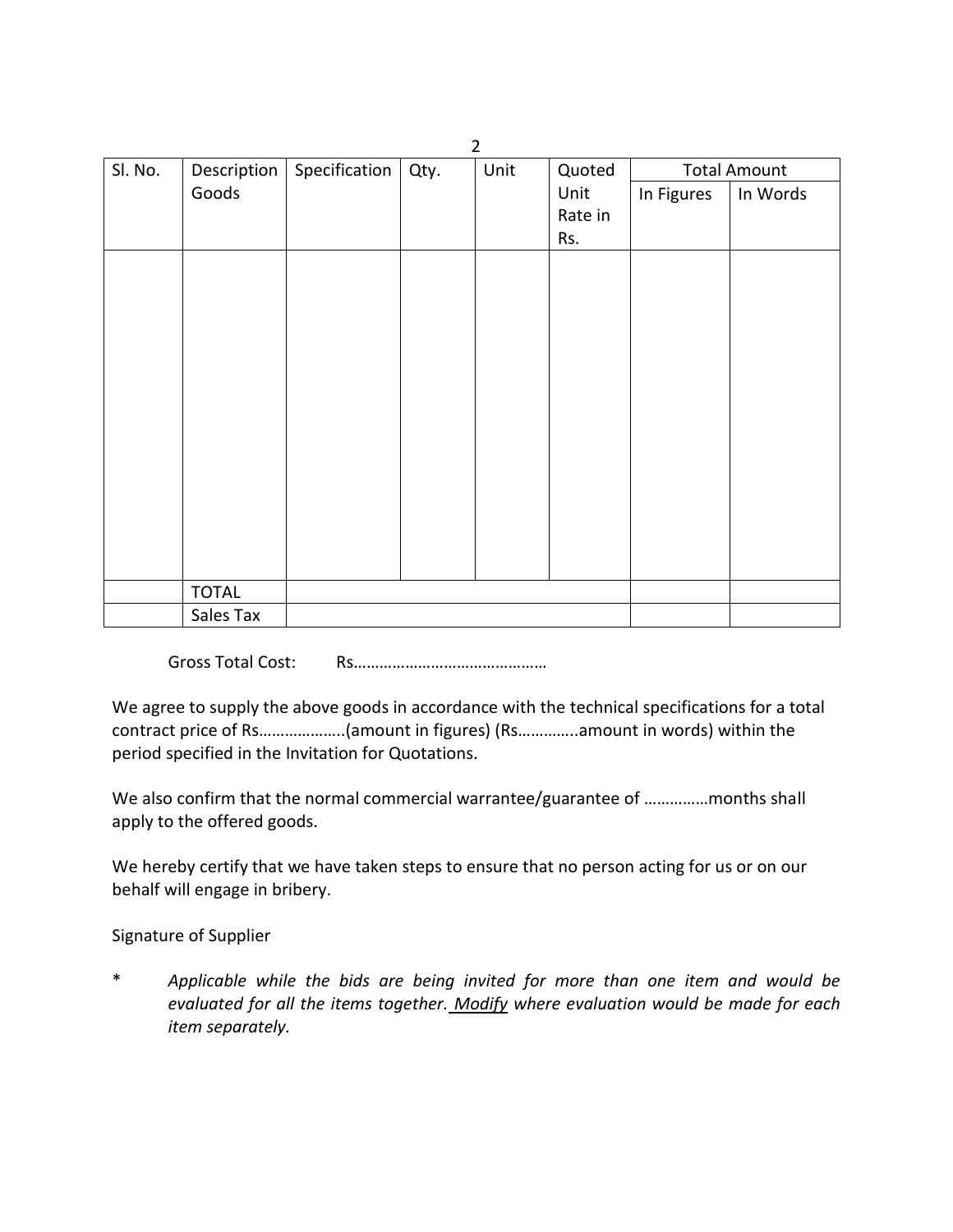|         |              |               |      | ▴    |         |            |                     |
|---------|--------------|---------------|------|------|---------|------------|---------------------|
| Sl. No. | Description  | Specification | Qty. | Unit | Quoted  |            | <b>Total Amount</b> |
|         | Goods        |               |      |      | Unit    | In Figures | In Words            |
|         |              |               |      |      | Rate in |            |                     |
|         |              |               |      |      | Rs.     |            |                     |
|         |              |               |      |      |         |            |                     |
|         |              |               |      |      |         |            |                     |
|         |              |               |      |      |         |            |                     |
|         |              |               |      |      |         |            |                     |
|         |              |               |      |      |         |            |                     |
|         |              |               |      |      |         |            |                     |
|         |              |               |      |      |         |            |                     |
|         |              |               |      |      |         |            |                     |
|         |              |               |      |      |         |            |                     |
|         |              |               |      |      |         |            |                     |
|         |              |               |      |      |         |            |                     |
|         |              |               |      |      |         |            |                     |
|         |              |               |      |      |         |            |                     |
|         |              |               |      |      |         |            |                     |
|         |              |               |      |      |         |            |                     |
|         |              |               |      |      |         |            |                     |
|         |              |               |      |      |         |            |                     |
|         |              |               |      |      |         |            |                     |
|         | <b>TOTAL</b> |               |      |      |         |            |                     |
|         | Sales Tax    |               |      |      |         |            |                     |

Gross Total Cost: Rs………………………………………

We agree to supply the above goods in accordance with the technical specifications for a total contract price of Rs………………..(amount in figures) (Rs…………..amount in words) within the period specified in the Invitation for Quotations.

We also confirm that the normal commercial warrantee/guarantee of ...............months shall apply to the offered goods.

We hereby certify that we have taken steps to ensure that no person acting for us or on our behalf will engage in bribery.

Signature of Supplier

\* *Applicable while the bids are being invited for more than one item and would be evaluated for all the items together. Modify where evaluation would be made for each item separately.*

 $\overline{2}$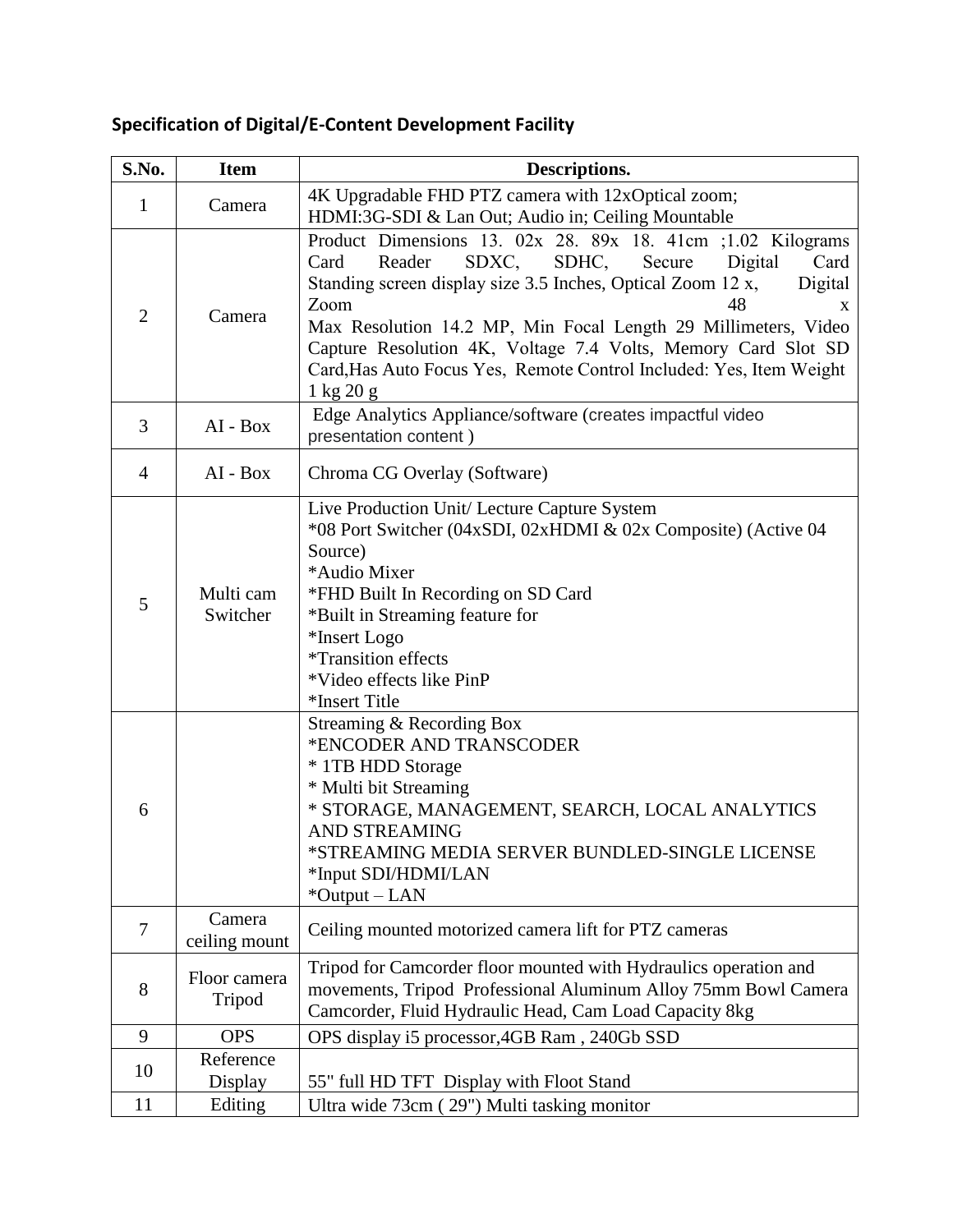# **Specification of Digital/E-Content Development Facility**

| S.No.          | <b>Item</b>             | Descriptions.                                                                                                                                                                                                                                                                                                                                                                                                                                                                                                                                                                              |  |  |
|----------------|-------------------------|--------------------------------------------------------------------------------------------------------------------------------------------------------------------------------------------------------------------------------------------------------------------------------------------------------------------------------------------------------------------------------------------------------------------------------------------------------------------------------------------------------------------------------------------------------------------------------------------|--|--|
| 1              | Camera                  | 4K Upgradable FHD PTZ camera with 12xOptical zoom;<br>HDMI:3G-SDI & Lan Out; Audio in; Ceiling Mountable                                                                                                                                                                                                                                                                                                                                                                                                                                                                                   |  |  |
| $\overline{2}$ | Camera                  | Product Dimensions 13. $02x$ 28. $89x$ 18. 41cm ; 1.02 Kilograms<br>SDXC,<br>SDHC,<br>Digital<br>Card<br>Card<br>Reader<br>Secure<br>Standing screen display size 3.5 Inches, Optical Zoom 12 x,<br>Digital<br>Zoom<br>48<br>X<br>Max Resolution 14.2 MP, Min Focal Length 29 Millimeters, Video<br>Capture Resolution 4K, Voltage 7.4 Volts, Memory Card Slot SD<br>Card, Has Auto Focus Yes, Remote Control Included: Yes, Item Weight<br>$1 \text{ kg } 20 \text{ g}$                                                                                                                   |  |  |
| 3              | AI - Box                | Edge Analytics Appliance/software (creates impactful video<br>presentation content)                                                                                                                                                                                                                                                                                                                                                                                                                                                                                                        |  |  |
| $\overline{4}$ | AI - Box                | Chroma CG Overlay (Software)                                                                                                                                                                                                                                                                                                                                                                                                                                                                                                                                                               |  |  |
| 5<br>6         | Multi cam<br>Switcher   | Live Production Unit/ Lecture Capture System<br>*08 Port Switcher (04xSDI, 02xHDMI & 02x Composite) (Active 04<br>Source)<br>*Audio Mixer<br>*FHD Built In Recording on SD Card<br>*Built in Streaming feature for<br>*Insert Logo<br><i>*Transition effects</i><br>*Video effects like PinP<br>*Insert Title<br>Streaming & Recording Box<br>*ENCODER AND TRANSCODER<br>* 1TB HDD Storage<br>* Multi bit Streaming<br>* STORAGE, MANAGEMENT, SEARCH, LOCAL ANALYTICS<br><b>AND STREAMING</b><br>*STREAMING MEDIA SERVER BUNDLED-SINGLE LICENSE<br>*Input SDI/HDMI/LAN<br>$*$ Output – LAN |  |  |
| 7              | Camera<br>ceiling mount | Ceiling mounted motorized camera lift for PTZ cameras                                                                                                                                                                                                                                                                                                                                                                                                                                                                                                                                      |  |  |
| 8              | Floor camera<br>Tripod  | Tripod for Camcorder floor mounted with Hydraulics operation and<br>movements, Tripod Professional Aluminum Alloy 75mm Bowl Camera<br>Camcorder, Fluid Hydraulic Head, Cam Load Capacity 8kg                                                                                                                                                                                                                                                                                                                                                                                               |  |  |
| 9              | <b>OPS</b>              | OPS display i5 processor, 4GB Ram, 240Gb SSD                                                                                                                                                                                                                                                                                                                                                                                                                                                                                                                                               |  |  |
| 10             | Reference<br>Display    | 55" full HD TFT Display with Floot Stand                                                                                                                                                                                                                                                                                                                                                                                                                                                                                                                                                   |  |  |
| 11             | Editing                 | Ultra wide 73cm (29") Multi tasking monitor                                                                                                                                                                                                                                                                                                                                                                                                                                                                                                                                                |  |  |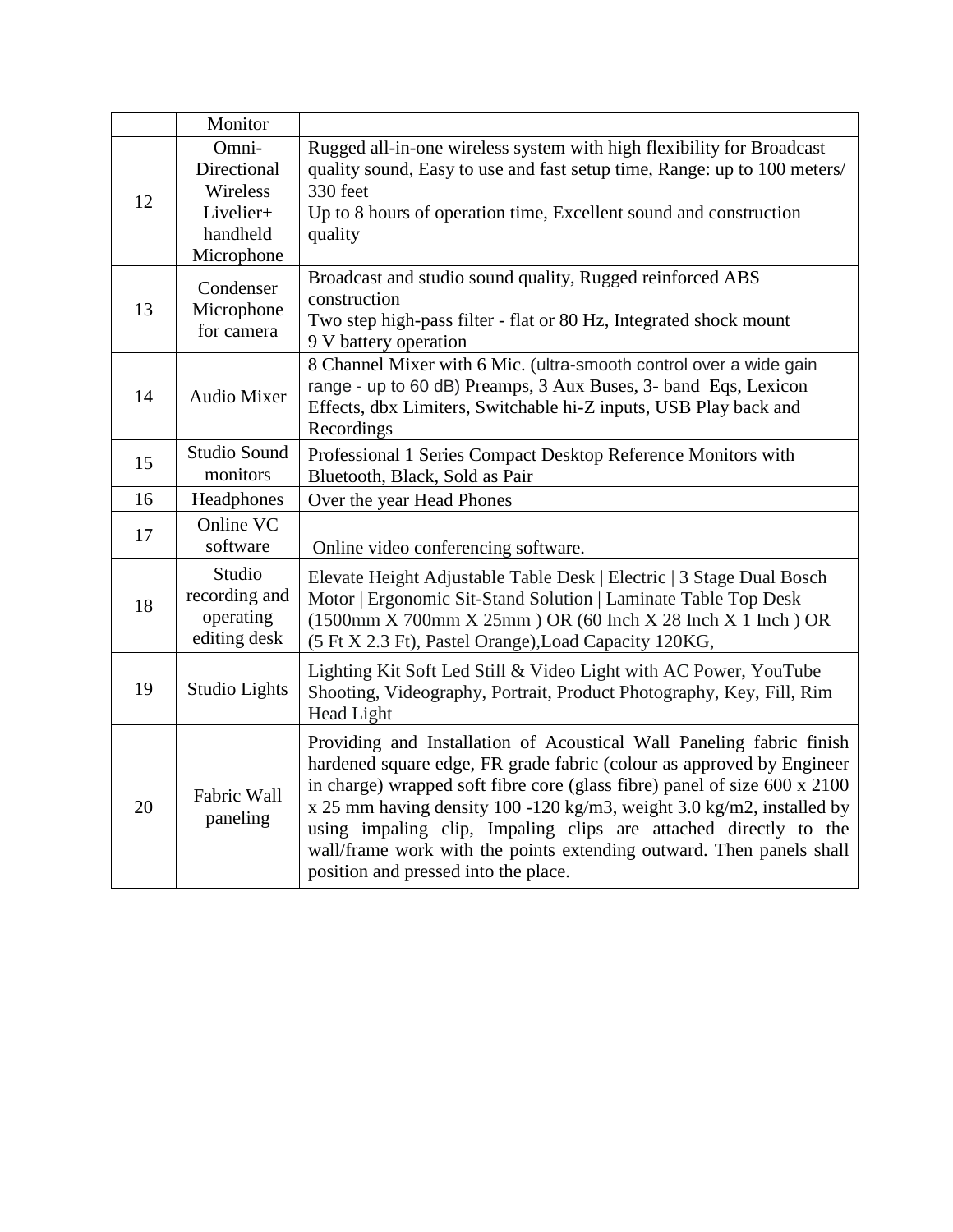|    | Monitor                                                                 |                                                                                                                                                                                                                                                                                                                                                                                                                                                                                         |
|----|-------------------------------------------------------------------------|-----------------------------------------------------------------------------------------------------------------------------------------------------------------------------------------------------------------------------------------------------------------------------------------------------------------------------------------------------------------------------------------------------------------------------------------------------------------------------------------|
| 12 | Omni-<br>Directional<br>Wireless<br>Livelier+<br>handheld<br>Microphone | Rugged all-in-one wireless system with high flexibility for Broadcast<br>quality sound, Easy to use and fast setup time, Range: up to 100 meters/<br>330 feet<br>Up to 8 hours of operation time, Excellent sound and construction<br>quality                                                                                                                                                                                                                                           |
| 13 | Condenser<br>Microphone<br>for camera                                   | Broadcast and studio sound quality, Rugged reinforced ABS<br>construction<br>Two step high-pass filter - flat or 80 Hz, Integrated shock mount<br>9 V battery operation                                                                                                                                                                                                                                                                                                                 |
| 14 | <b>Audio Mixer</b>                                                      | 8 Channel Mixer with 6 Mic. (ultra-smooth control over a wide gain<br>range - up to 60 dB) Preamps, 3 Aux Buses, 3- band Eqs, Lexicon<br>Effects, dbx Limiters, Switchable hi-Z inputs, USB Play back and<br>Recordings                                                                                                                                                                                                                                                                 |
| 15 | Studio Sound<br>monitors                                                | Professional 1 Series Compact Desktop Reference Monitors with<br>Bluetooth, Black, Sold as Pair                                                                                                                                                                                                                                                                                                                                                                                         |
| 16 | Headphones                                                              | Over the year Head Phones                                                                                                                                                                                                                                                                                                                                                                                                                                                               |
| 17 | Online VC<br>software                                                   | Online video conferencing software.                                                                                                                                                                                                                                                                                                                                                                                                                                                     |
| 18 | Studio<br>recording and<br>operating<br>editing desk                    | Elevate Height Adjustable Table Desk   Electric   3 Stage Dual Bosch<br>Motor   Ergonomic Sit-Stand Solution   Laminate Table Top Desk<br>(1500mm X 700mm X 25mm) OR (60 Inch X 28 Inch X 1 Inch) OR<br>(5 Ft X 2.3 Ft), Pastel Orange), Load Capacity 120KG,                                                                                                                                                                                                                           |
| 19 | Studio Lights                                                           | Lighting Kit Soft Led Still & Video Light with AC Power, YouTube<br>Shooting, Videography, Portrait, Product Photography, Key, Fill, Rim<br>Head Light                                                                                                                                                                                                                                                                                                                                  |
| 20 | Fabric Wall<br>paneling                                                 | Providing and Installation of Acoustical Wall Paneling fabric finish<br>hardened square edge, FR grade fabric (colour as approved by Engineer<br>in charge) wrapped soft fibre core (glass fibre) panel of size 600 x 2100<br>x 25 mm having density 100 -120 kg/m3, weight 3.0 kg/m2, installed by<br>using impaling clip, Impaling clips are attached directly to the<br>wall/frame work with the points extending outward. Then panels shall<br>position and pressed into the place. |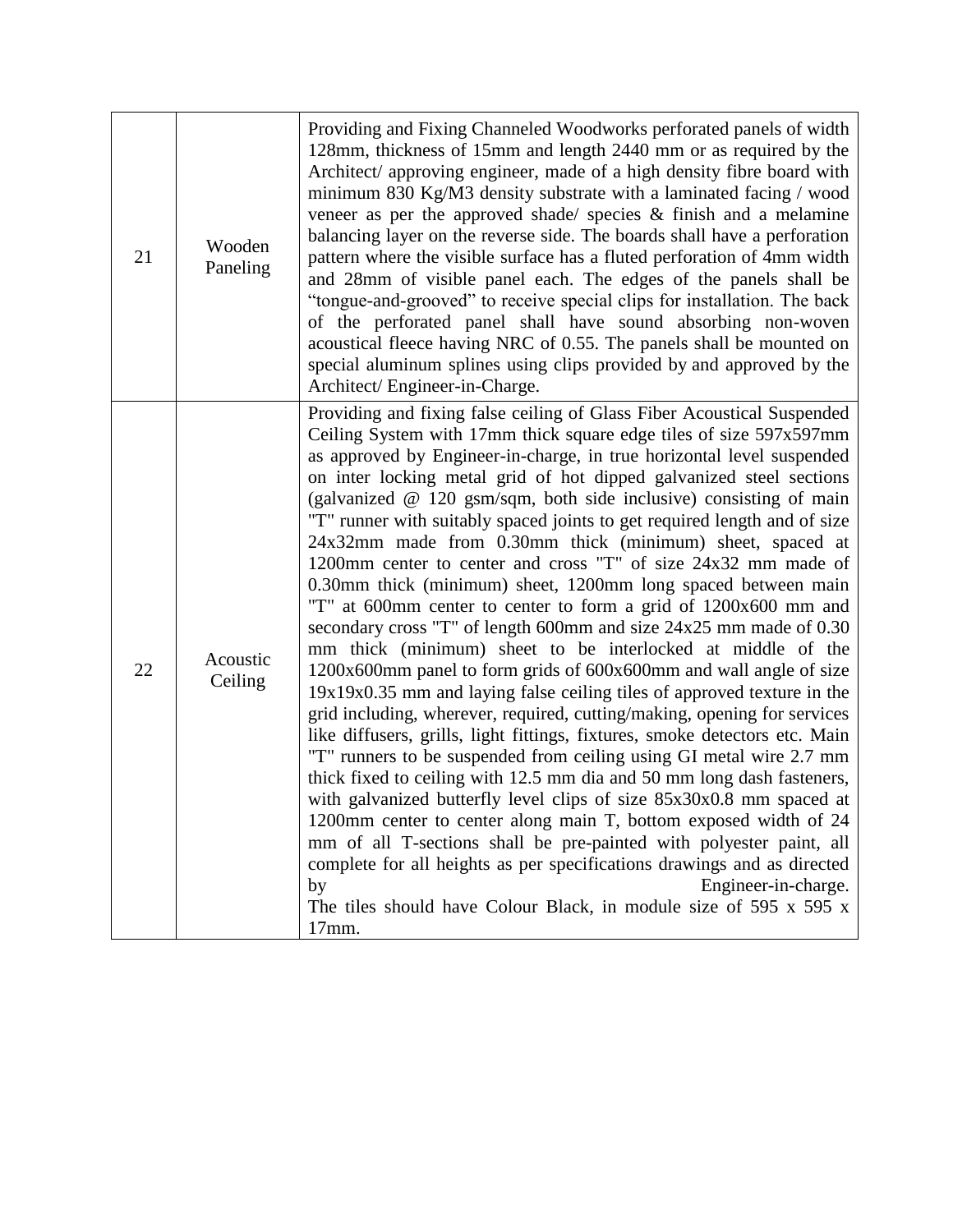| 21 | Wooden<br>Paneling  | Providing and Fixing Channeled Woodworks perforated panels of width<br>128mm, thickness of 15mm and length 2440 mm or as required by the<br>Architect/ approving engineer, made of a high density fibre board with<br>minimum 830 Kg/M3 density substrate with a laminated facing / wood<br>veneer as per the approved shade/ species $\&$ finish and a melamine<br>balancing layer on the reverse side. The boards shall have a perforation<br>pattern where the visible surface has a fluted perforation of 4mm width<br>and 28mm of visible panel each. The edges of the panels shall be<br>"tongue-and-grooved" to receive special clips for installation. The back<br>of the perforated panel shall have sound absorbing non-woven<br>acoustical fleece having NRC of 0.55. The panels shall be mounted on<br>special aluminum splines using clips provided by and approved by the<br>Architect/Engineer-in-Charge.                                                                                                                                                                                                                                                                                                                                                                                                                                                                                                                                                                                                                                                                                                                                                                                                                  |
|----|---------------------|-------------------------------------------------------------------------------------------------------------------------------------------------------------------------------------------------------------------------------------------------------------------------------------------------------------------------------------------------------------------------------------------------------------------------------------------------------------------------------------------------------------------------------------------------------------------------------------------------------------------------------------------------------------------------------------------------------------------------------------------------------------------------------------------------------------------------------------------------------------------------------------------------------------------------------------------------------------------------------------------------------------------------------------------------------------------------------------------------------------------------------------------------------------------------------------------------------------------------------------------------------------------------------------------------------------------------------------------------------------------------------------------------------------------------------------------------------------------------------------------------------------------------------------------------------------------------------------------------------------------------------------------------------------------------------------------------------------------------------------------|
| 22 | Acoustic<br>Ceiling | Providing and fixing false ceiling of Glass Fiber Acoustical Suspended<br>Ceiling System with 17mm thick square edge tiles of size 597x597mm<br>as approved by Engineer-in-charge, in true horizontal level suspended<br>on inter locking metal grid of hot dipped galvanized steel sections<br>(galvanized @ 120 gsm/sqm, both side inclusive) consisting of main<br>"T" runner with suitably spaced joints to get required length and of size<br>24x32mm made from 0.30mm thick (minimum) sheet, spaced at<br>1200mm center to center and cross "T" of size 24x32 mm made of<br>0.30mm thick (minimum) sheet, 1200mm long spaced between main<br>"T" at 600mm center to center to form a grid of 1200x600 mm and<br>secondary cross "T" of length 600mm and size 24x25 mm made of 0.30<br>mm thick (minimum) sheet to be interlocked at middle of the<br>1200x600mm panel to form grids of 600x600mm and wall angle of size<br>19x19x0.35 mm and laying false ceiling tiles of approved texture in the<br>grid including, wherever, required, cutting/making, opening for services<br>like diffusers, grills, light fittings, fixtures, smoke detectors etc. Main<br>"T" runners to be suspended from ceiling using GI metal wire 2.7 mm<br>thick fixed to ceiling with 12.5 mm dia and 50 mm long dash fasteners,<br>with galvanized butterfly level clips of size 85x30x0.8 mm spaced at<br>1200mm center to center along main T, bottom exposed width of 24<br>mm of all T-sections shall be pre-painted with polyester paint, all<br>complete for all heights as per specifications drawings and as directed<br>Engineer-in-charge.<br>by<br>The tiles should have Colour Black, in module size of $595 \times 595 \times$<br>17mm. |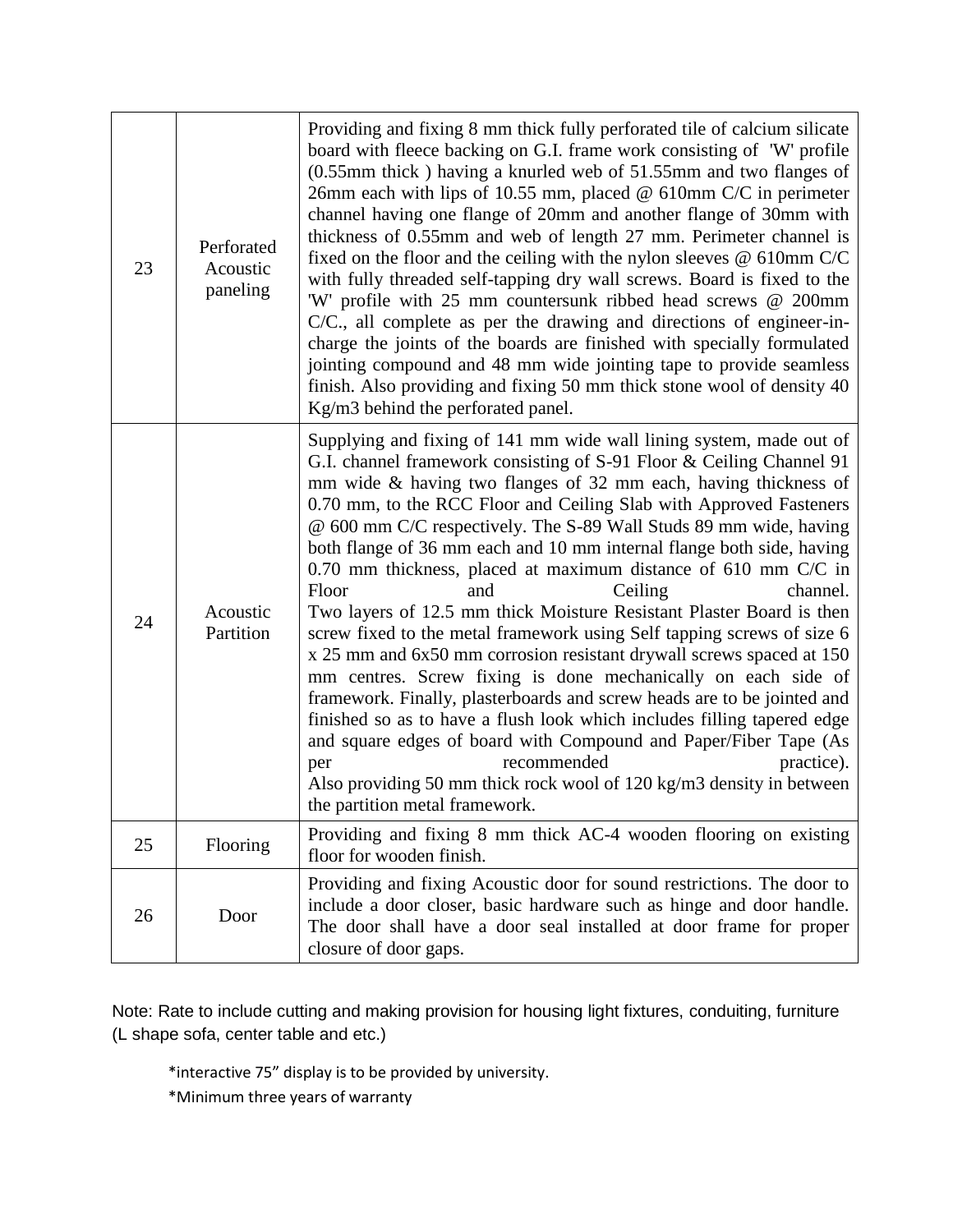| 23 | Perforated<br>Acoustic<br>paneling | Providing and fixing 8 mm thick fully perforated tile of calcium silicate<br>board with fleece backing on G.I. frame work consisting of 'W' profile<br>(0.55mm thick) having a knurled web of 51.55mm and two flanges of<br>26mm each with lips of 10.55 mm, placed $@$ 610mm C/C in perimeter<br>channel having one flange of 20mm and another flange of 30mm with<br>thickness of 0.55mm and web of length 27 mm. Perimeter channel is<br>fixed on the floor and the ceiling with the nylon sleeves $\omega$ 610mm C/C<br>with fully threaded self-tapping dry wall screws. Board is fixed to the<br>'W' profile with 25 mm countersunk ribbed head screws @ 200mm<br>C/C., all complete as per the drawing and directions of engineer-in-<br>charge the joints of the boards are finished with specially formulated<br>jointing compound and 48 mm wide jointing tape to provide seamless<br>finish. Also providing and fixing 50 mm thick stone wool of density 40<br>Kg/m3 behind the perforated panel.                                                                                                                                                                                                        |
|----|------------------------------------|---------------------------------------------------------------------------------------------------------------------------------------------------------------------------------------------------------------------------------------------------------------------------------------------------------------------------------------------------------------------------------------------------------------------------------------------------------------------------------------------------------------------------------------------------------------------------------------------------------------------------------------------------------------------------------------------------------------------------------------------------------------------------------------------------------------------------------------------------------------------------------------------------------------------------------------------------------------------------------------------------------------------------------------------------------------------------------------------------------------------------------------------------------------------------------------------------------------------|
| 24 | Acoustic<br>Partition              | Supplying and fixing of 141 mm wide wall lining system, made out of<br>G.I. channel framework consisting of S-91 Floor & Ceiling Channel 91<br>mm wide $\&$ having two flanges of 32 mm each, having thickness of<br>0.70 mm, to the RCC Floor and Ceiling Slab with Approved Fasteners<br>@ 600 mm C/C respectively. The S-89 Wall Studs 89 mm wide, having<br>both flange of 36 mm each and 10 mm internal flange both side, having<br>$0.70$ mm thickness, placed at maximum distance of 610 mm C/C in<br>Floor<br>channel.<br>and<br>Ceiling<br>Two layers of 12.5 mm thick Moisture Resistant Plaster Board is then<br>screw fixed to the metal framework using Self tapping screws of size 6<br>x 25 mm and 6x50 mm corrosion resistant drywall screws spaced at 150<br>mm centres. Screw fixing is done mechanically on each side of<br>framework. Finally, plasterboards and screw heads are to be jointed and<br>finished so as to have a flush look which includes filling tapered edge<br>and square edges of board with Compound and Paper/Fiber Tape (As<br>recommended<br>practice).<br>per<br>Also providing 50 mm thick rock wool of 120 kg/m3 density in between<br>the partition metal framework. |
| 25 | Flooring                           | Providing and fixing 8 mm thick AC-4 wooden flooring on existing<br>floor for wooden finish.                                                                                                                                                                                                                                                                                                                                                                                                                                                                                                                                                                                                                                                                                                                                                                                                                                                                                                                                                                                                                                                                                                                        |
| 26 | Door                               | Providing and fixing Acoustic door for sound restrictions. The door to<br>include a door closer, basic hardware such as hinge and door handle.<br>The door shall have a door seal installed at door frame for proper<br>closure of door gaps.                                                                                                                                                                                                                                                                                                                                                                                                                                                                                                                                                                                                                                                                                                                                                                                                                                                                                                                                                                       |

Note: Rate to include cutting and making provision for housing light fixtures, conduiting, furniture (L shape sofa, center table and etc.)

\*interactive 75" display is to be provided by university.

\*Minimum three years of warranty